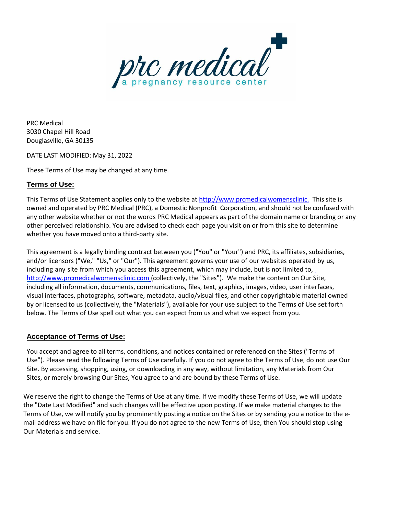

PRC Medical 3030 Chapel Hill Road Douglasville, GA 30135

DATE LAST MODIFIED: May 31, 2022

These Terms of Use may be changed at any time.

### **Terms of Use:**

This Terms of Use Statement applies only to the website at http://www.prcmedicalwomensclinic. This site is owned and operated by PRC Medical (PRC), a Domestic Nonprofit Corporation, and should not be confused with any other website whether or not the words PRC Medical appears as part of the domain name or branding or any other perceived relationship. You are advised to check each page you visit on or from this site to determine whether you have moved onto a third-party site.

This agreement is a legally binding contract between you ("You" or "Your") and PRC, its affiliates, subsidiaries, and/or licensors ("We," "Us," or "Our"). This agreement governs your use of our websites operated by us, including any site from which you access this agreement, which may include, but is not limited to, [http://www.prcmedicalwomensclinic.com](http://www.prcmedicalwomensclinic.com/) (collectively, the "Sites"). We make the content on Our Site, including all information, documents, communications, files, text, graphics, images, video, user interfaces, visual interfaces, photographs, software, metadata, audio/visual files, and other copyrightable material owned by or licensed to us (collectively, the "Materials"), available for your use subject to the Terms of Use set forth below. The Terms of Use spell out what you can expect from us and what we expect from you.

#### **Acceptance of Terms of Use:**

You accept and agree to all terms, conditions, and notices contained or referenced on the Sites ("Terms of Use"). Please read the following Terms of Use carefully. If you do not agree to the Terms of Use, do not use Our Site. By accessing, shopping, using, or downloading in any way, without limitation, any Materials from Our Sites, or merely browsing Our Sites, You agree to and are bound by these Terms of Use.

We reserve the right to change the Terms of Use at any time. If we modify these Terms of Use, we will update the "Date Last Modified" and such changes will be effective upon posting. If we make material changes to the Terms of Use, we will notify you by prominently posting a notice on the Sites or by sending you a notice to the email address we have on file for you. If you do not agree to the new Terms of Use, then You should stop using Our Materials and service.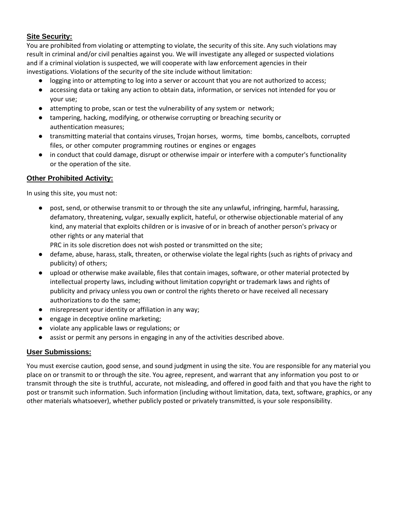#### **Site Security:**

You are prohibited from violating or attempting to violate, the security of this site. Any such violations may result in criminal and/or civil penalties against you. We will investigate any alleged or suspected violations and if a criminal violation is suspected, we will cooperate with law enforcement agencies in their investigations. Violations of the security of the site include without limitation:

- logging into or attempting to log into a server or account that you are not authorized to access;
- accessing data or taking any action to obtain data, information, or services not intended for you or your use;
- attempting to probe, scan or test the vulnerability of any system or network;
- tampering, hacking, modifying, or otherwise corrupting or breaching security or authentication measures;
- transmitting material that contains viruses, Trojan horses, worms, time bombs, cancelbots, corrupted files, or other computer programming routines or engines or engages
- in conduct that could damage, disrupt or otherwise impair or interfere with a computer's functionality or the operation of the site.

### **Other Prohibited Activity:**

In using this site, you must not:

● post, send, or otherwise transmit to or through the site any unlawful, infringing, harmful, harassing, defamatory, threatening, vulgar, sexually explicit, hateful, or otherwise objectionable material of any kind, any material that exploits children or is invasive of or in breach of another person's privacy or other rights or any material that

PRC in its sole discretion does not wish posted or transmitted on the site;

- defame, abuse, harass, stalk, threaten, or otherwise violate the legal rights (such as rights of privacy and publicity) of others;
- upload or otherwise make available, files that contain images, software, or other material protected by intellectual property laws, including without limitation copyright or trademark laws and rights of publicity and privacy unless you own or control the rights thereto or have received all necessary authorizations to do the same;
- misrepresent your identity or affiliation in any way;
- engage in deceptive online marketing;
- violate any applicable laws or regulations; or
- assist or permit any persons in engaging in any of the activities described above.

#### **User Submissions:**

You must exercise caution, good sense, and sound judgment in using the site. You are responsible for any material you place on or transmit to or through the site. You agree, represent, and warrant that any information you post to or transmit through the site is truthful, accurate, not misleading, and offered in good faith and that you have the right to post or transmit such information. Such information (including without limitation, data, text, software, graphics, or any other materials whatsoever), whether publicly posted or privately transmitted, is your sole responsibility.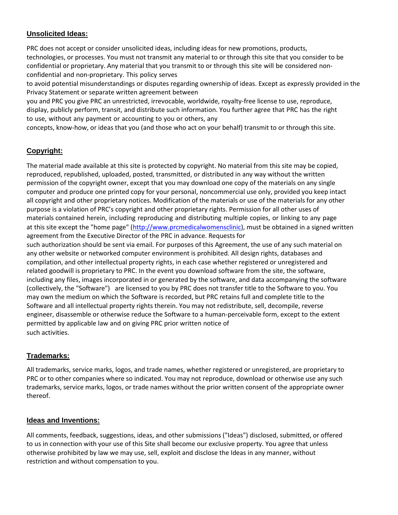## **Unsolicited Ideas:**

PRC does not accept or consider unsolicited ideas, including ideas for new promotions, products, technologies, or processes. You must not transmit any material to or through this site that you consider to be confidential or proprietary. Any material that you transmit to or through this site will be considered nonconfidential and non-proprietary. This policy serves

to avoid potential misunderstandings or disputes regarding ownership of ideas. Except as expressly provided in the Privacy Statement or separate written agreement between

you and PRC you give PRC an unrestricted, irrevocable, worldwide, royalty-free license to use, reproduce, display, publicly perform, transit, and distribute such information. You further agree that PRC has the right to use, without any payment or accounting to you or others, any

concepts, know-how, or ideas that you (and those who act on your behalf) transmit to or through this site.

# **Copyright:**

The material made available at this site is protected by copyright. No material from this site may be copied, reproduced, republished, uploaded, posted, transmitted, or distributed in any way without the written permission of the copyright owner, except that you may download one copy of the materials on any single computer and produce one printed copy for your personal, noncommercial use only, provided you keep intact all copyright and other proprietary notices. Modification of the materials or use of the materials for any other purpose is a violation of PRC's copyright and other proprietary rights. Permission for all other uses of materials contained herein, including reproducing and distributing multiple copies, or linking to any page at this site except the "home page" (http://www.prcmedicalwomensclinic), must be obtained in a signed written agreement from the Executive Director of the PRC in advance. Requests for such authorization should be sent via email. For purposes of this Agreement, the use of any such material on any other website or networked computer environment is prohibited. All design rights, databases and compilation, and other intellectual property rights, in each case whether registered or unregistered and related goodwill is proprietary to PRC. In the event you download software from the site, the software, including any files, images incorporated in or generated by the software, and data accompanying the software (collectively, the "Software") are licensed to you by PRC does not transfer title to the Software to you. You may own the medium on which the Software is recorded, but PRC retains full and complete title to the Software and all intellectual property rights therein. You may not redistribute, sell, decompile, reverse engineer, disassemble or otherwise reduce the Software to a human-perceivable form, except to the extent permitted by applicable law and on giving PRC prior written notice of such activities.

# **Trademarks:**

All trademarks, service marks, logos, and trade names, whether registered or unregistered, are proprietary to PRC or to other companies where so indicated. You may not reproduce, download or otherwise use any such trademarks, service marks, logos, or trade names without the prior written consent of the appropriate owner thereof.

## **Ideas and Inventions:**

All comments, feedback, suggestions, ideas, and other submissions ("Ideas") disclosed, submitted, or offered to us in connection with your use of this Site shall become our exclusive property. You agree that unless otherwise prohibited by law we may use, sell, exploit and disclose the Ideas in any manner, without restriction and without compensation to you.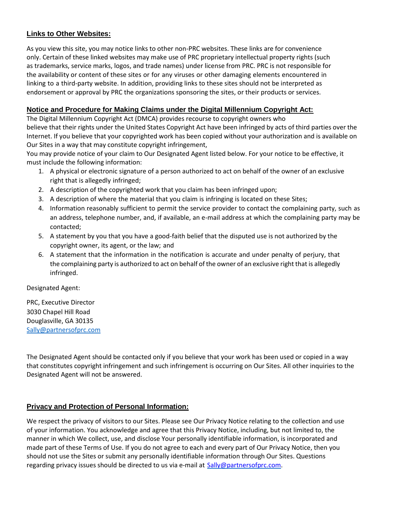### **Links to Other Websites:**

As you view this site, you may notice links to other non-PRC websites. These links are for convenience only. Certain of these linked websites may make use of PRC proprietary intellectual property rights (such as trademarks, service marks, logos, and trade names) under license from PRC. PRC is not responsible for the availability or content of these sites or for any viruses or other damaging elements encountered in linking to a third-party website. In addition, providing links to these sites should not be interpreted as endorsement or approval by PRC the organizations sponsoring the sites, or their products or services.

### **Notice and Procedure for Making Claims under the Digital Millennium Copyright Act:**

The Digital Millennium Copyright Act (DMCA) provides recourse to copyright owners who believe that their rights under the United States Copyright Act have been infringed by acts of third parties over the Internet. If you believe that your copyrighted work has been copied without your authorization and is available on Our Sites in a way that may constitute copyright infringement,

You may provide notice of your claim to Our Designated Agent listed below. For your notice to be effective, it must include the following information:

- 1. A physical or electronic signature of a person authorized to act on behalf of the owner of an exclusive right that is allegedly infringed;
- 2. A description of the copyrighted work that you claim has been infringed upon;
- 3. A description of where the material that you claim is infringing is located on these Sites;
- 4. Information reasonably sufficient to permit the service provider to contact the complaining party, such as an address, telephone number, and, if available, an e-mail address at which the complaining party may be contacted;
- 5. A statement by you that you have a good-faith belief that the disputed use is not authorized by the copyright owner, its agent, or the law; and
- 6. A statement that the information in the notification is accurate and under penalty of perjury, that the complaining party is authorized to act on behalf of the owner of an exclusive right that is allegedly infringed.

Designated Agent:

PRC, Executive Director 3030 Chapel Hill Road Douglasville, GA 30135 Sally@partnersofprc.com

The Designated Agent should be contacted only if you believe that your work has been used or copied in a way that constitutes copyright infringement and such infringement is occurring on Our Sites. All other inquiries to the Designated Agent will not be answered.

## **Privacy and Protection of Personal Information:**

We respect the privacy of visitors to our Sites. Please see Our Privacy Notice relating to the collection and use of your information. You acknowledge and agree that this Privacy Notice, including, but not limited to, the manner in which We collect, use, and disclose Your personally identifiable information, is incorporated and made part of these Terms of Use. If you do not agree to each and every part of Our Privacy Notice, then you should not use the Sites or submit any personally identifiable information through Our Sites. Questions regarding privacy issues should be directed to us via e-mail at [Sally@partnersofprc.com.](mailto:Sally@partnersofprc.com)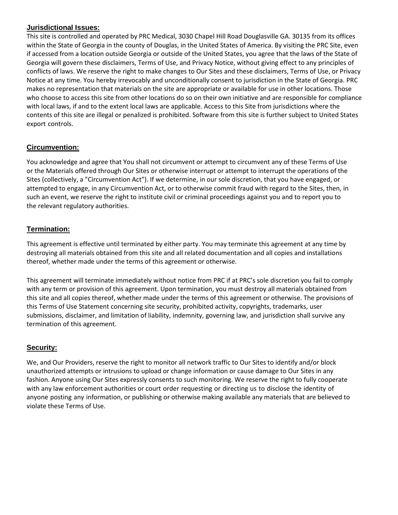#### **Jurisdictional Issues:**

This site is controlled and operated by PRC Medical, 3030 Chapel Hill Road Douglasville GA. 30135 from its offices within the State of Georgia in the county of Douglas, in the United States of America. By visiting the PRC Site, even if accessed from a location outside Georgia or outside of the United States, you agree that the laws of the State of Georgia will govern these disclaimers, Terms of Use, and Privacy Notice, without giving effect to any principles of conflicts of laws. We reserve the right to make changes to Our Sites and these disclaimers, Terms of Use, or Privacy Notice at any time. You hereby irrevocably and unconditionally consent to jurisdiction in the State of Georgia. PRC makes no representation that materials on the site are appropriate or available for use in other locations. Those who choose to access this site from other locations do so on their own initiative and are responsible for compliance with local laws, if and to the extent local laws are applicable. Access to this Site from jurisdictions where the contents of this site are illegal or penalized is prohibited. Software from this site is further subject to United States export controls.

# **Circumvention:**

You acknowledge and agree that You shall not circumvent or attempt to circumvent any of these Terms of Use or the Materials offered through Our Sites or otherwise interrupt or attempt to interrupt the operations of the Sites (collectively, a "Circumvention Act"). If we determine, in our sole discretion, that you have engaged, or attempted to engage, in any Circumvention Act, or to otherwise commit fraud with regard to the Sites, then, in such an event, we reserve the right to institute civil or criminal proceedings against you and to report you to the relevant regulatory authorities.

# **Termination:**

This agreement is effective until terminated by either party. You may terminate this agreement at any time by destroying all materials obtained from this site and all related documentation and all copies and installations thereof, whether made under the terms of this agreement or otherwise.

This agreement will terminate immediately without notice from PRC if at PRC's sole discretion you fail to comply with any term or provision of this agreement. Upon termination, you must destroy all materials obtained from this site and all copies thereof, whether made under the terms of this agreement or otherwise. The provisions of this Terms of Use Statement concerning site security, prohibited activity, copyrights, trademarks, user submissions, disclaimer, and limitation of liability, indemnity, governing law, and jurisdiction shall survive any termination of this agreement.

## **Security:**

We, and Our Providers, reserve the right to monitor all network traffic to Our Sites to identify and/or block unauthorized attempts or intrusions to upload or change information or cause damage to Our Sites in any fashion. Anyone using Our Sites expressly consents to such monitoring. We reserve the right to fully cooperate with any law enforcement authorities or court order requesting or directing us to disclose the identity of anyone posting any information, or publishing or otherwise making available any materials that are believed to violate these Terms of Use.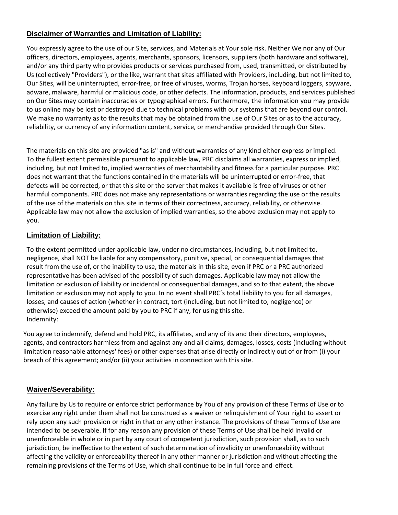# **Disclaimer of Warranties and Limitation of Liability:**

You expressly agree to the use of our Site, services, and Materials at Your sole risk. Neither We nor any of Our officers, directors, employees, agents, merchants, sponsors, licensors, suppliers (both hardware and software), and/or any third party who provides products or services purchased from, used, transmitted, or distributed by Us (collectively "Providers"), or the like, warrant that sites affiliated with Providers, including, but not limited to, Our Sites, will be uninterrupted, error-free, or free of viruses, worms, Trojan horses, keyboard loggers, spyware, adware, malware, harmful or malicious code, or other defects. The information, products, and services published on Our Sites may contain inaccuracies or typographical errors. Furthermore, the information you may provide to us online may be lost or destroyed due to technical problems with our systems that are beyond our control. We make no warranty as to the results that may be obtained from the use of Our Sites or as to the accuracy, reliability, or currency of any information content, service, or merchandise provided through Our Sites.

The materials on this site are provided "as is" and without warranties of any kind either express or implied. To the fullest extent permissible pursuant to applicable law, PRC disclaims all warranties, express or implied, including, but not limited to, implied warranties of merchantability and fitness for a particular purpose. PRC does not warrant that the functions contained in the materials will be uninterrupted or error-free, that defects will be corrected, or that this site or the server that makes it available is free of viruses or other harmful components. PRC does not make any representations or warranties regarding the use or the results of the use of the materials on this site in terms of their correctness, accuracy, reliability, or otherwise. Applicable law may not allow the exclusion of implied warranties, so the above exclusion may not apply to you.

## **Limitation of Liability:**

To the extent permitted under applicable law, under no circumstances, including, but not limited to, negligence, shall NOT be liable for any compensatory, punitive, special, or consequential damages that result from the use of, or the inability to use, the materials in this site, even if PRC or a PRC authorized representative has been advised of the possibility of such damages. Applicable law may not allow the limitation or exclusion of liability or incidental or consequential damages, and so to that extent, the above limitation or exclusion may not apply to you. In no event shall PRC's total liability to you for all damages, losses, and causes of action (whether in contract, tort (including, but not limited to, negligence) or otherwise) exceed the amount paid by you to PRC if any, for using this site. Indemnity:

You agree to indemnify, defend and hold PRC, its affiliates, and any of its and their directors, employees, agents, and contractors harmless from and against any and all claims, damages, losses, costs (including without limitation reasonable attorneys' fees) or other expenses that arise directly or indirectly out of or from (i) your breach of this agreement; and/or (ii) your activities in connection with this site.

## **Waiver/Severability:**

Any failure by Us to require or enforce strict performance by You of any provision of these Terms of Use or to exercise any right under them shall not be construed as a waiver or relinquishment of Your right to assert or rely upon any such provision or right in that or any other instance. The provisions of these Terms of Use are intended to be severable. If for any reason any provision of these Terms of Use shall be held invalid or unenforceable in whole or in part by any court of competent jurisdiction, such provision shall, as to such jurisdiction, be ineffective to the extent of such determination of invalidity or unenforceability without affecting the validity or enforceability thereof in any other manner or jurisdiction and without affecting the remaining provisions of the Terms of Use, which shall continue to be in full force and effect.